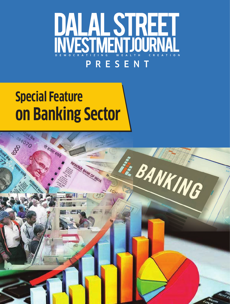

# **Special Feature on Banking Sector**

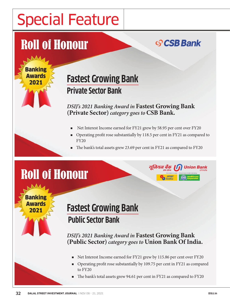# Special Feature

## Roll of Honour

Banking **Awards** 2021

#### <u>ତ</u> CSB Bank

#### **Fastest Growing Bank Private Sector Bank**

*DSIJ's 2021 Banking Award in* **Fastest Growing Bank (Private Sector)** *category goes to* **CSB Bank.**

- <sup>n</sup> Net Interest Income earned for FY21 grew by 58.95 per cent over FY20
- <sup>n</sup> Operating profit rose substantially by 118.5 per cent in FY21 as compared to FY20

यनियन बैंक

**Union Bank** 

The bank's total assets grew 23.69 per cent in FY21 as compared to FY20

## Roll of Honour

Bankii Awards 2021

#### **Fastest Growing Bank Public Sector Bank**

*DSIJ's 2021 Banking Award in* **Fastest Growing Bank (Public Sector)** *category goes to* **Union Bank Of India.**

- Net Interest Income earned for FY21 grew by 115.86 per cent over FY20
- <sup>n</sup> Operating profit rose substantially by 109.75 per cent in FY21 as compared to FY20
- The bank's total assets grew 94.61 per cent in FY21 as compared to FY20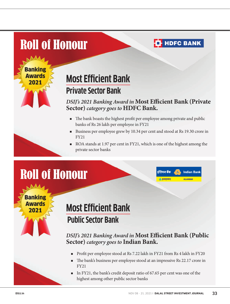## Roll of Honour

Banking **Awards** 2021

#### **T**HDFC BANK

### **Most Efficient Bank Private Sector Bank**

#### *DSIJ's 2021 Banking Award in* **Most Efficient Bank (Private Sector)** *category goes to* **HDFC Bank.**

- <sup>n</sup> The bank boasts the highest profit per employee among private and public banks of Rs 26 lakh per employee in FY21
- <sup>n</sup> Business per employee grew by 10.34 per cent and stood at Rs 19.30 crore in FY21
- <sup>n</sup> ROA stands at 1.97 per cent in FY21, which is one of the highest among the private sector banks

इंडियन बैंक

<u>।</u><br>के इलाहाबाद

**Indian Bank** 

**ALLAHABAD** 

## Roll of Honour

**Banking** Awards 2021

### **Most Efficient Bank Public Sector Bank**

#### *DSIJ's 2021 Banking Award in* **Most Efficient Bank (Public Sector)** *category goes to* **Indian Bank.**

- n Profit per employee stood at Rs 7.22 lakh in FY21 from Rs 4 lakh in FY20
- The bank's business per employee stood at an impressive Rs 22.17 crore in FY21
- <sup>n</sup> In FY21, the bank's credit deposit ratio of 67.65 per cent was one of the highest among other public sector banks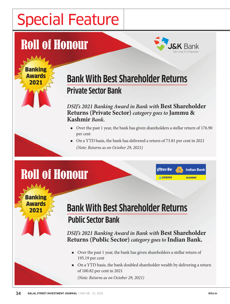# Special Feature

## Roll of Honour

Banking Awards 2021



**Indian Bank** 

**ALLAHABAD** 

### **Bank With Best Shareholder Returns Private Sector Bank**

*DSIJ's 2021 Banking Award in Bank with* **Best Shareholder Returns (Private Sector)** *category goes to* **Jammu & Kashmir** *Bank.*

<sup>n</sup> Over the past 1 year, the bank has given shareholders a stellar return of 176.90 per cent

> डंडियन बैंक ं इलाहाबाट

<sup>n</sup> On a YTD basis, the bank has delivered a return of 73.81 per cent in 2021 *(Note: Returns as on October 29, 2021)*

## Roll of Honour

Banking Awards 2021

#### **Bank With Best Shareholder Returns Public Sector Bank**

*DSIJ's 2021 Banking Award in Bank with* **Best Shareholder Returns (Public Sector)** *category goes to* **Indian Bank.**

- <sup>n</sup> Over the past 1 year, the bank has given shareholders a stellar return of 195.19 per cent
- <sup>n</sup> On a YTD basis, the bank doubled shareholder wealth by delivering a return of 100.82 per cent in 2021

*(Note: Returns as on October 29, 2021)*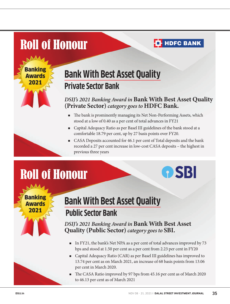### Roll of Honour

Banki **Awards** 2021

### **Bank With Best Asset Quality Private Sector Bank**

#### *DSIJ's 2021 Banking Award in* **Bank With Best Asset Quality (Private Sector)** *category goes to* **HDFC Bank.**

**T**HDFC BANK

**OSBI** 

- <sup>n</sup> The bank is prominently managing its Net Non-Performing Assets, which stood at a low of 0.40 as a per cent of total advances in FY21
- <sup>n</sup> Capital Adequacy Ratio as per Basel III guidelines of the bank stood at a comfortable 18.79 per cent, up by 27 basis points over FY20.
- <sup>n</sup> CASA Deposits accounted for 46.1 per cent of Total deposits and the bank recorded a 27 per cent increase in low-cost CASA deposits – the highest in previous three years

## Roll of Honour

**Banking** Awards 2021

#### **Bank With Best Asset Quality Public Sector Bank**

*DSIJ's 2021 Banking Award in* **Bank With Best Asset Quality (Public Sector)** *category goes to* **SBI.**

- In FY21, the bank's Net NPA as a per cent of total advances improved by 73 bps and stood at 1.50 per cent as a per cent from 2.23 per cent in FY20
- <sup>n</sup> Capital Adequacy Ratio (CAR) as per Basel III guidelines has improved to 13.74 per cent as on March 2021, an increase of 68 basis points from 13.06 per cent in March 2020.
- n The CASA Ratio improved by 97 bps from 45.16 per cent as of March 2020 to 46.13 per cent as of March 2021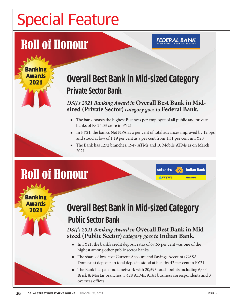# Special Feature

## Roll of Honour

Banking Awards 2021

### **Overall Best Bank in Mid-sized Category Private Sector Bank**

**FEDERAL BANK** 

#### *DSIJ's 2021 Banking Award in* **Overall Best Bank in Midsized (Private Sector)** *category goes to* **Federal Bank.**

- <sup>n</sup> The bank boasts the highest Business per employee of all public and private banks of Rs 24.03 crore in FY21
- <sup>n</sup> In FY21, the bank's Net NPA as a per cent of total advances improved by 12 bps and stood at low of 1.19 per cent as a per cent from 1.31 per cent in FY20

डंडियन बैंक

ं इलाहाबाट

**Indian Bank** 

**ALLAHABAD** 

<sup>n</sup> The Bank has 1272 branches, 1947 ATMs and 10 Mobile ATMs as on March 2021.

## Roll of Honour

Banking Awards 2021

### **Overall Best Bank in Mid-sized Category Public Sector Bank**

*DSIJ's 2021 Banking Award in* **Overall Best Bank in Midsized (Public Sector)** *category goes to* **Indian Bank.**

- <sup>n</sup> In FY21, the bank's credit deposit ratio of 67.65 per cent was one of the highest among other public sector banks
- <sup>n</sup> The share of low-cost Current Account and Savings Account (CASA-Domestic) deposits in total deposits stood at healthy 42 per cent in FY21
- <sup>n</sup> The Bank has pan-India network with 20,593 touch points including 6,004 Brick & Mortar branches, 5,428 ATMs, 9,161 business correspondents and 3 overseas offices.